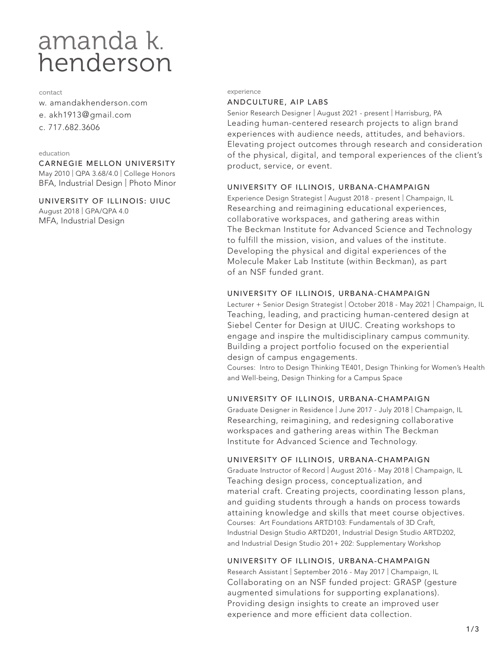# amanda k.<br>henderson

#### contact

- w. amandakhenderson.com
- e. akh1913@gmail.com
- c. 717.682.3606

## education

CARNEGIE MELLON UNIVERSITY May 2010 | QPA 3.68/4.0 | College Honors BFA, Industrial Design | Photo Minor

UNIVERSITY OF ILLINOIS: UIUC August 2018 | GPA/QPA 4.0 MFA, Industrial Design

#### experience

## ANDCULTURE, AIP LABS

Senior Research Designer | August 2021 - present | Harrisburg, PA Leading human-centered research projects to align brand experiences with audience needs, attitudes, and behaviors. Elevating project outcomes through research and consideration of the physical, digital, and temporal experiences of the client's product, service, or event.

# UNIVERSITY OF ILLINOIS, URBANA-CHAMPAIGN

Experience Design Strategist | August 2018 - present | Champaign, IL Researching and reimagining educational experiences, collaborative workspaces, and gathering areas within The Beckman Institute for Advanced Science and Technology to fulfill the mission, vision, and values of the institute. Developing the physical and digital experiences of the Molecule Maker Lab Institute (within Beckman), as part of an NSF funded grant.

# UNIVERSITY OF ILLINOIS, URBANA-CHAMPAIGN

Lecturer + Senior Design Strategist | October 2018 - May 2021 | Champaign, IL Teaching, leading, and practicing human-centered design at Siebel Center for Design at UIUC. Creating workshops to engage and inspire the multidisciplinary campus community. Building a project portfolio focused on the experiential design of campus engagements.

Courses: Intro to Design Thinking TE401, Design Thinking for Women's Health and Well-being, Design Thinking for a Campus Space

# UNIVERSITY OF ILLINOIS, URBANA-CHAMPAIGN

Graduate Designer in Residence | June 2017 - July 2018 | Champaign, IL Researching, reimagining, and redesigning collaborative workspaces and gathering areas within The Beckman Institute for Advanced Science and Technology.

# UNIVERSITY OF ILLINOIS, URBANA-CHAMPAIGN

Graduate Instructor of Record | August 2016 - May 2018 | Champaign, IL Teaching design process, conceptualization, and material craft. Creating projects, coordinating lesson plans, and guiding students through a hands on process towards attaining knowledge and skills that meet course objectives. Courses: Art Foundations ARTD103: Fundamentals of 3D Craft, Industrial Design Studio ARTD201, Industrial Design Studio ARTD202, and Industrial Design Studio 201+ 202: Supplementary Workshop

# UNIVERSITY OF ILLINOIS, URBANA-CHAMPAIGN

Research Assistant | September 2016 - May 2017 | Champaign, IL Collaborating on an NSF funded project: GRASP (gesture augmented simulations for supporting explanations). Providing design insights to create an improved user experience and more efficient data collection.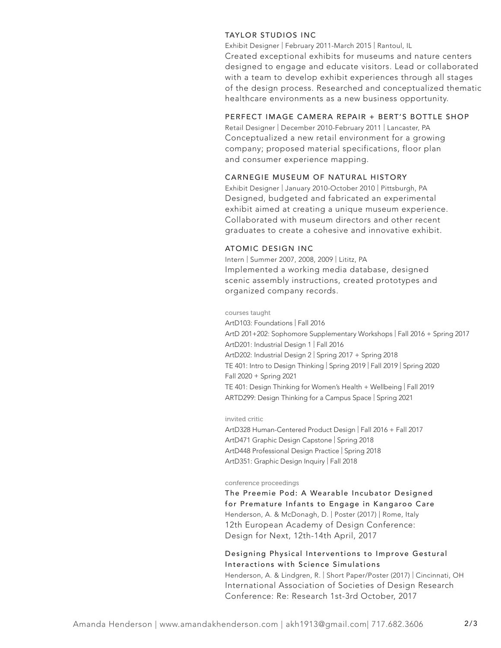## TAYLOR STUDIOS INC

Exhibit Designer | February 2011-March 2015 | Rantoul, IL Created exceptional exhibits for museums and nature centers designed to engage and educate visitors. Lead or collaborated with a team to develop exhibit experiences through all stages of the design process. Researched and conceptualized thematic healthcare environments as a new business opportunity.

# PERFECT IMAGE CAMERA REPAIR + BERT'S BOTTLE SHOP

Retail Designer | December 2010-February 2011 | Lancaster, PA Conceptualized a new retail environment for a growing company; proposed material specifications, floor plan and consumer experience mapping.

# CARNEGIE MUSEUM OF NATURAL HISTORY

Exhibit Designer | January 2010-October 2010 | Pittsburgh, PA Designed, budgeted and fabricated an experimental exhibit aimed at creating a unique museum experience. Collaborated with museum directors and other recent graduates to create a cohesive and innovative exhibit.

# ATOMIC DESIGN INC

Intern | Summer 2007, 2008, 2009 | Lititz, PA Implemented a working media database, designed scenic assembly instructions, created prototypes and organized company records.

#### courses taught

ArtD103: Foundations | Fall 2016 ArtD 201+202: Sophomore Supplementary Workshops | Fall 2016 + Spring 2017 ArtD201: Industrial Design 1 | Fall 2016 ArtD202: Industrial Design 2 | Spring 2017 + Spring 2018 TE 401: Intro to Design Thinking | Spring 2019 | Fall 2019 | Spring 2020 Fall 2020 + Spring 2021 TE 401: Design Thinking for Women's Health + Wellbeing | Fall 2019 ARTD299: Design Thinking for a Campus Space | Spring 2021

## invited critic

ArtD328 Human-Centered Product Design | Fall 2016 + Fall 2017 ArtD471 Graphic Design Capstone | Spring 2018 ArtD448 Professional Design Practice | Spring 2018 ArtD351: Graphic Design Inquiry | Fall 2018

#### conference proceedings

The Preemie Pod: A Wearable Incubator Designed for Premature Infants to Engage in Kangaroo Care Henderson, A. & McDonagh, D. | Poster (2017) | Rome, Italy 12th European Academy of Design Conference: Design for Next, 12th-14th April, 2017

# Designing Physical Interventions to Improve Gestural Interactions with Science Simulations

Henderson, A. & Lindgren, R. | Short Paper/Poster (2017) | Cincinnati, OH International Association of Societies of Design Research Conference: Re: Research 1st-3rd October, 2017